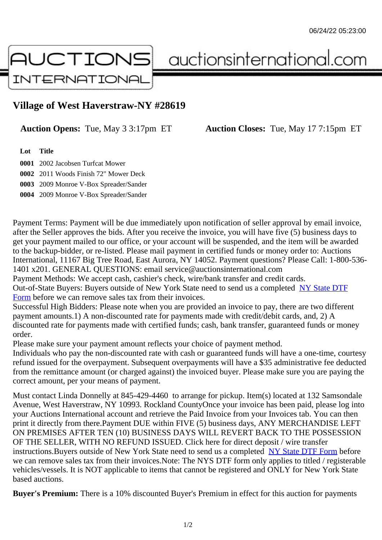## Village of West Haverstraw-NY #28619

Auction Opens: Tue, May 3 3:17pm ET Auction Closes: Tue, May 17 7:15pm ET

Lot Title

 2002 Jacobsen Turfcat Mower 2011 Woods Finish 72" Mower Deck 2009 Monroe V-Box Spreader/Sander 2009 Monroe V-Box Spreader/Sander

Payment Terms: Payment will be due immediately upon notification of seller approval by email invoice, after the Seller approves the bids. After you receive the invoice, you will have five (5) business days to get your payment mailed to our office, or your account will be suspended, and the item will be awarded to the backup-bidder, or re-listed. Please mail payment in certified funds or money order to: Auctions International, 11167 Big Tree Road, East Aurora, NY 14052. Payment questions? Please Call: 1-800-53 1401 x201. GENERAL QUESTIONS: email service@auctionsinternational.com Payment Methods: We accept cash, cashier's check, wire/bank transfer and credit cards.

Out-of-State Buyers: Buyers outside of New York State need to send us a com blestate DTF Form before we can remove sales tax from their invoices.

Successful High Bidders: Please note when you are provided an invoice to pay, there are two different payment amounts.1) A non-discounted rate for payments made with credit/de[bit cards, and](https://www.auctionsinternational.com/auxiliary/downloads/DTF_Form/dtf_fill_in.pdf), 2) A [disco](https://www.auctionsinternational.com/auxiliary/downloads/DTF_Form/dtf_fill_in.pdf)unted rate for payments made with certified funds; cash, bank transfer, guaranteed funds or mone order.

Please make sure your payment amount reflects your choice of payment method.

Individuals who pay the non-discounted rate with cash or guaranteed funds will have a one-time, courte refund issued for the overpayment. Subsequent overpayments will have a \$35 administrative fee deduc from the remittance amount (or charged against) the invoiced buyer. Please make sure you are paying correct amount, per your means of payment.

Must contact Linda Donnelly at 845-429-4460 to arrange for pickup. Item(s) located at 132 Samsondal Avenue, West Haverstraw, NY 10993. Rockland CountyOnce your invoice has been paid, please log in your Auctions International account and retrieve the Paid Invoice from your Invoices tab. You can then print it directly from there. Payment DUE within FIVE (5) business days, ANY MERCHANDISE LEFT ON PREMISES AFTER TEN (10) BUSINESS DAYS WILL REVERT BACK TO THE POSSESSION OF THE SELLER, WITH NO REFUND ISSUED. Click here for direct deposit / wire transfer instructions. Buyers outside of New York State need to send us a combleted ate DTF Form before we can remove sales tax from their invoices.Note: The NYS DTF form only applies to titled / registerabl vehicles/vessels. It is NOT applicable to items that cannot be registered and ONLY for New York State based auctions.

Buyer's Premium: There is a 10% discounted Buyer's Premium in effect for this auction for payments